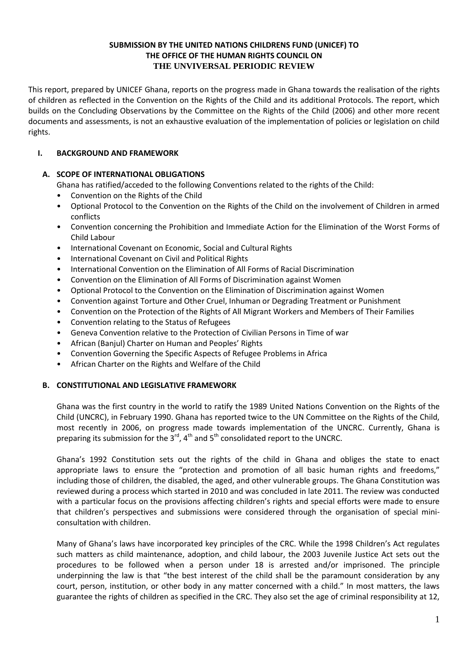### **SUBMISSION BY THE UNITED NATIONS CHILDRENS FUND (UNICEF) TO THE OFFICE OF THE HUMAN RIGHTS COUNCIL ON THE UNVIVERSAL PERIODIC REVIEW**

This report, prepared by UNICEF Ghana, reports on the progress made in Ghana towards the realisation of the rights of children as reflected in the Convention on the Rights of the Child and its additional Protocols. The report, which builds on the Concluding Observations by the Committee on the Rights of the Child (2006) and other more recent documents and assessments, is not an exhaustive evaluation of the implementation of policies or legislation on child rights.

# **I. BACKGROUND AND FRAMEWORK**

# **A. SCOPE OF INTERNATIONAL OBLIGATIONS**

Ghana has ratified/acceded to the following Conventions related to the rights of the Child:

- Convention on the Rights of the Child
- Optional Protocol to the Convention on the Rights of the Child on the involvement of Children in armed conflicts
- Convention concerning the Prohibition and Immediate Action for the Elimination of the Worst Forms of Child Labour
- International Covenant on Economic, Social and Cultural Rights
- International Covenant on Civil and Political Rights
- International Convention on the Elimination of All Forms of Racial Discrimination
- Convention on the Elimination of All Forms of Discrimination against Women
- Optional Protocol to the Convention on the Elimination of Discrimination against Women
- Convention against Torture and Other Cruel, Inhuman or Degrading Treatment or Punishment
- Convention on the Protection of the Rights of All Migrant Workers and Members of Their Families
- Convention relating to the Status of Refugees
- Geneva Convention relative to the Protection of Civilian Persons in Time of war
- African (Banjul) Charter on Human and Peoples' Rights
- Convention Governing the Specific Aspects of Refugee Problems in Africa
- African Charter on the Rights and Welfare of the Child

## **B. CONSTITUTIONAL AND LEGISLATIVE FRAMEWORK**

Ghana was the first country in the world to ratify the 1989 United Nations Convention on the Rights of the Child (UNCRC), in February 1990. Ghana has reported twice to the UN Committee on the Rights of the Child, most recently in 2006, on progress made towards implementation of the UNCRC. Currently, Ghana is preparing its submission for the  $3^{rd}$ ,  $4^{th}$  and  $5^{th}$  consolidated report to the UNCRC.

Ghana's 1992 Constitution sets out the rights of the child in Ghana and obliges the state to enact appropriate laws to ensure the "protection and promotion of all basic human rights and freedoms," including those of children, the disabled, the aged, and other vulnerable groups. The Ghana Constitution was reviewed during a process which started in 2010 and was concluded in late 2011. The review was conducted with a particular focus on the provisions affecting children's rights and special efforts were made to ensure that children's perspectives and submissions were considered through the organisation of special miniconsultation with children.

Many of Ghana's laws have incorporated key principles of the CRC. While the 1998 Children's Act regulates such matters as child maintenance, adoption, and child labour, the 2003 Juvenile Justice Act sets out the procedures to be followed when a person under 18 is arrested and/or imprisoned. The principle underpinning the law is that "the best interest of the child shall be the paramount consideration by any court, person, institution, or other body in any matter concerned with a child." In most matters, the laws guarantee the rights of children as specified in the CRC. They also set the age of criminal responsibility at 12,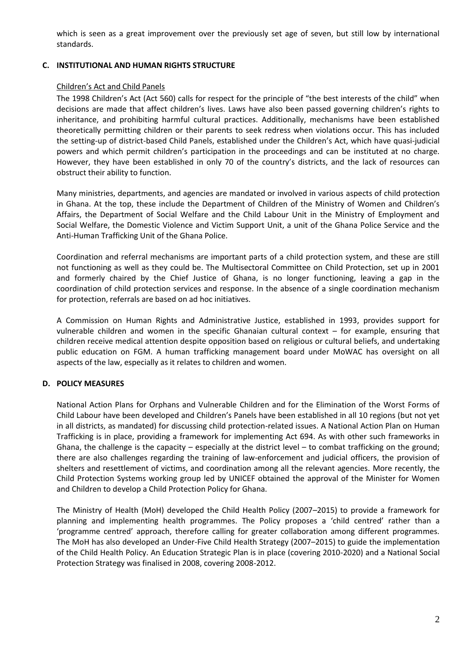which is seen as a great improvement over the previously set age of seven, but still low by international standards.

## **C. INSTITUTIONAL AND HUMAN RIGHTS STRUCTURE**

### Children's Act and Child Panels

The 1998 Children's Act (Act 560) calls for respect for the principle of "the best interests of the child" when decisions are made that affect children's lives. Laws have also been passed governing children's rights to inheritance, and prohibiting harmful cultural practices. Additionally, mechanisms have been established theoretically permitting children or their parents to seek redress when violations occur. This has included the setting-up of district-based Child Panels, established under the Children's Act, which have quasi-judicial powers and which permit children's participation in the proceedings and can be instituted at no charge. However, they have been established in only 70 of the country's districts, and the lack of resources can obstruct their ability to function.

Many ministries, departments, and agencies are mandated or involved in various aspects of child protection in Ghana. At the top, these include the Department of Children of the Ministry of Women and Children's Affairs, the Department of Social Welfare and the Child Labour Unit in the Ministry of Employment and Social Welfare, the Domestic Violence and Victim Support Unit, a unit of the Ghana Police Service and the Anti-Human Trafficking Unit of the Ghana Police.

Coordination and referral mechanisms are important parts of a child protection system, and these are still not functioning as well as they could be. The Multisectoral Committee on Child Protection, set up in 2001 and formerly chaired by the Chief Justice of Ghana, is no longer functioning, leaving a gap in the coordination of child protection services and response. In the absence of a single coordination mechanism for protection, referrals are based on ad hoc initiatives.

A Commission on Human Rights and Administrative Justice, established in 1993, provides support for vulnerable children and women in the specific Ghanaian cultural context – for example, ensuring that children receive medical attention despite opposition based on religious or cultural beliefs, and undertaking public education on FGM. A human trafficking management board under MoWAC has oversight on all aspects of the law, especially as it relates to children and women.

## **D. POLICY MEASURES**

National Action Plans for Orphans and Vulnerable Children and for the Elimination of the Worst Forms of Child Labour have been developed and Children's Panels have been established in all 10 regions (but not yet in all districts, as mandated) for discussing child protection-related issues. A National Action Plan on Human Trafficking is in place, providing a framework for implementing Act 694. As with other such frameworks in Ghana, the challenge is the capacity – especially at the district level – to combat trafficking on the ground; there are also challenges regarding the training of law-enforcement and judicial officers, the provision of shelters and resettlement of victims, and coordination among all the relevant agencies. More recently, the Child Protection Systems working group led by UNICEF obtained the approval of the Minister for Women and Children to develop a Child Protection Policy for Ghana.

The Ministry of Health (MoH) developed the Child Health Policy (2007–2015) to provide a framework for planning and implementing health programmes. The Policy proposes a 'child centred' rather than a 'programme centred' approach, therefore calling for greater collaboration among different programmes. The MoH has also developed an Under-Five Child Health Strategy (2007–2015) to guide the implementation of the Child Health Policy. An Education Strategic Plan is in place (covering 2010-2020) and a National Social Protection Strategy was finalised in 2008, covering 2008-2012.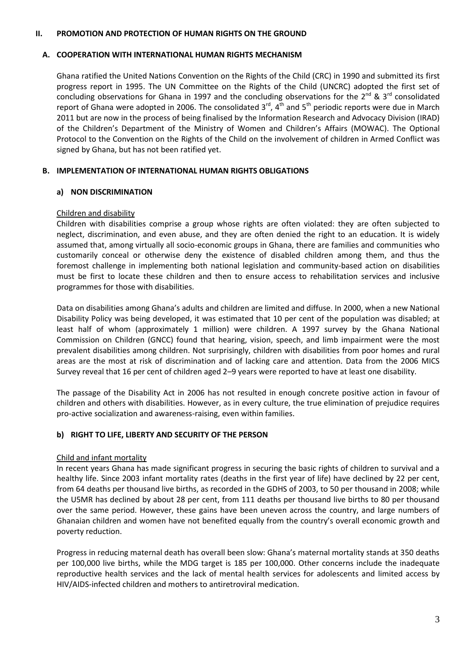#### **II. PROMOTION AND PROTECTION OF HUMAN RIGHTS ON THE GROUND**

#### **A. COOPERATION WITH INTERNATIONAL HUMAN RIGHTS MECHANISM**

Ghana ratified the United Nations Convention on the Rights of the Child (CRC) in 1990 and submitted its first progress report in 1995. The UN Committee on the Rights of the Child (UNCRC) adopted the first set of concluding observations for Ghana in 1997 and the concluding observations for the 2<sup>nd</sup> & 3<sup>rd</sup> consolidated report of Ghana were adopted in 2006. The consolidated  $3^{rd}$ ,  $4^{th}$  and  $5^{th}$  periodic reports were due in March 2011 but are now in the process of being finalised by the Information Research and Advocacy Division (IRAD) of the Children's Department of the Ministry of Women and Children's Affairs (MOWAC). The Optional Protocol to the Convention on the Rights of the Child on the involvement of children in Armed Conflict was signed by Ghana, but has not been ratified yet.

### **B. IMPLEMENTATION OF INTERNATIONAL HUMAN RIGHTS OBLIGATIONS**

#### **a) NON DISCRIMINATION**

#### Children and disability

Children with disabilities comprise a group whose rights are often violated: they are often subjected to neglect, discrimination, and even abuse, and they are often denied the right to an education. It is widely assumed that, among virtually all socio-economic groups in Ghana, there are families and communities who customarily conceal or otherwise deny the existence of disabled children among them, and thus the foremost challenge in implementing both national legislation and community-based action on disabilities must be first to locate these children and then to ensure access to rehabilitation services and inclusive programmes for those with disabilities.

Data on disabilities among Ghana's adults and children are limited and diffuse. In 2000, when a new National Disability Policy was being developed, it was estimated that 10 per cent of the population was disabled; at least half of whom (approximately 1 million) were children. A 1997 survey by the Ghana National Commission on Children (GNCC) found that hearing, vision, speech, and limb impairment were the most prevalent disabilities among children. Not surprisingly, children with disabilities from poor homes and rural areas are the most at risk of discrimination and of lacking care and attention. Data from the 2006 MICS Survey reveal that 16 per cent of children aged 2–9 years were reported to have at least one disability.

The passage of the Disability Act in 2006 has not resulted in enough concrete positive action in favour of children and others with disabilities. However, as in every culture, the true elimination of prejudice requires pro-active socialization and awareness-raising, even within families.

#### **b) RIGHT TO LIFE, LIBERTY AND SECURITY OF THE PERSON**

#### Child and infant mortality

In recent years Ghana has made significant progress in securing the basic rights of children to survival and a healthy life. Since 2003 infant mortality rates (deaths in the first year of life) have declined by 22 per cent, from 64 deaths per thousand live births, as recorded in the GDHS of 2003, to 50 per thousand in 2008; while the U5MR has declined by about 28 per cent, from 111 deaths per thousand live births to 80 per thousand over the same period. However, these gains have been uneven across the country, and large numbers of Ghanaian children and women have not benefited equally from the country's overall economic growth and poverty reduction.

Progress in reducing maternal death has overall been slow: Ghana's maternal mortality stands at 350 deaths per 100,000 live births, while the MDG target is 185 per 100,000. Other concerns include the inadequate reproductive health services and the lack of mental health services for adolescents and limited access by HIV/AIDS-infected children and mothers to antiretroviral medication.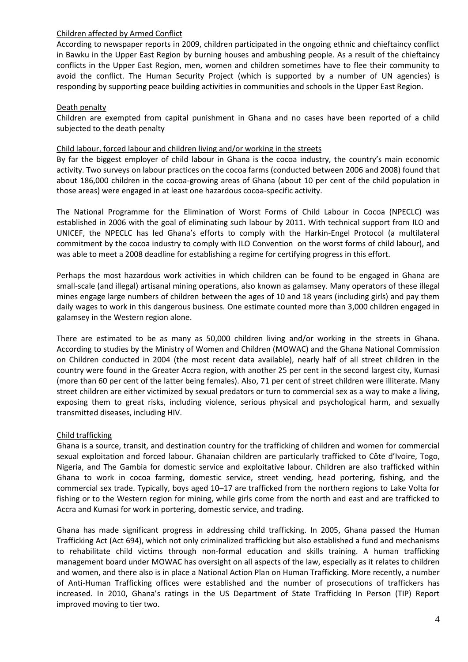### Children affected by Armed Conflict

According to newspaper reports in 2009, children participated in the ongoing ethnic and chieftaincy conflict in Bawku in the Upper East Region by burning houses and ambushing people. As a result of the chieftaincy conflicts in the Upper East Region, men, women and children sometimes have to flee their community to avoid the conflict. The Human Security Project (which is supported by a number of UN agencies) is responding by supporting peace building activities in communities and schools in the Upper East Region.

## Death penalty

Children are exempted from capital punishment in Ghana and no cases have been reported of a child subjected to the death penalty

#### Child labour, forced labour and children living and/or working in the streets

By far the biggest employer of child labour in Ghana is the cocoa industry, the country's main economic activity. Two surveys on labour practices on the cocoa farms (conducted between 2006 and 2008) found that about 186,000 children in the cocoa-growing areas of Ghana (about 10 per cent of the child population in those areas) were engaged in at least one hazardous cocoa-specific activity.

The National Programme for the Elimination of Worst Forms of Child Labour in Cocoa (NPECLC) was established in 2006 with the goal of eliminating such labour by 2011. With technical support from ILO and UNICEF, the NPECLC has led Ghana's efforts to comply with the Harkin-Engel Protocol (a multilateral commitment by the cocoa industry to comply with ILO Convention on the worst forms of child labour), and was able to meet a 2008 deadline for establishing a regime for certifying progress in this effort.

Perhaps the most hazardous work activities in which children can be found to be engaged in Ghana are small-scale (and illegal) artisanal mining operations, also known as galamsey. Many operators of these illegal mines engage large numbers of children between the ages of 10 and 18 years (including girls) and pay them daily wages to work in this dangerous business. One estimate counted more than 3,000 children engaged in galamsey in the Western region alone.

There are estimated to be as many as 50,000 children living and/or working in the streets in Ghana. According to studies by the Ministry of Women and Children (MOWAC) and the Ghana National Commission on Children conducted in 2004 (the most recent data available), nearly half of all street children in the country were found in the Greater Accra region, with another 25 per cent in the second largest city, Kumasi (more than 60 per cent of the latter being females). Also, 71 per cent of street children were illiterate. Many street children are either victimized by sexual predators or turn to commercial sex as a way to make a living, exposing them to great risks, including violence, serious physical and psychological harm, and sexually transmitted diseases, including HIV.

## Child trafficking

Ghana is a source, transit, and destination country for the trafficking of children and women for commercial sexual exploitation and forced labour. Ghanaian children are particularly trafficked to Côte d'Ivoire, Togo, Nigeria, and The Gambia for domestic service and exploitative labour. Children are also trafficked within Ghana to work in cocoa farming, domestic service, street vending, head portering, fishing, and the commercial sex trade. Typically, boys aged 10–17 are trafficked from the northern regions to Lake Volta for fishing or to the Western region for mining, while girls come from the north and east and are trafficked to Accra and Kumasi for work in portering, domestic service, and trading.

Ghana has made significant progress in addressing child trafficking. In 2005, Ghana passed the Human Trafficking Act (Act 694), which not only criminalized trafficking but also established a fund and mechanisms to rehabilitate child victims through non-formal education and skills training. A human trafficking management board under MOWAC has oversight on all aspects of the law, especially as it relates to children and women, and there also is in place a National Action Plan on Human Trafficking. More recently, a number of Anti-Human Trafficking offices were established and the number of prosecutions of traffickers has increased. In 2010, Ghana's ratings in the US Department of State Trafficking In Person (TIP) Report improved moving to tier two.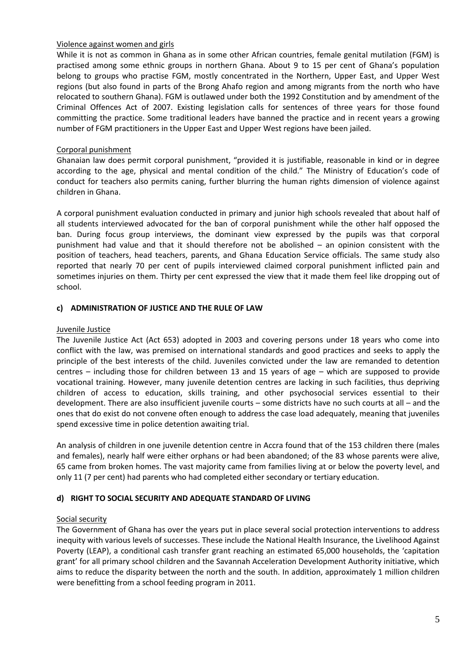### Violence against women and girls

While it is not as common in Ghana as in some other African countries, female genital mutilation (FGM) is practised among some ethnic groups in northern Ghana. About 9 to 15 per cent of Ghana's population belong to groups who practise FGM, mostly concentrated in the Northern, Upper East, and Upper West regions (but also found in parts of the Brong Ahafo region and among migrants from the north who have relocated to southern Ghana). FGM is outlawed under both the 1992 Constitution and by amendment of the Criminal Offences Act of 2007. Existing legislation calls for sentences of three years for those found committing the practice. Some traditional leaders have banned the practice and in recent years a growing number of FGM practitioners in the Upper East and Upper West regions have been jailed.

## Corporal punishment

Ghanaian law does permit corporal punishment, "provided it is justifiable, reasonable in kind or in degree according to the age, physical and mental condition of the child." The Ministry of Education's code of conduct for teachers also permits caning, further blurring the human rights dimension of violence against children in Ghana.

A corporal punishment evaluation conducted in primary and junior high schools revealed that about half of all students interviewed advocated for the ban of corporal punishment while the other half opposed the ban. During focus group interviews, the dominant view expressed by the pupils was that corporal punishment had value and that it should therefore not be abolished – an opinion consistent with the position of teachers, head teachers, parents, and Ghana Education Service officials. The same study also reported that nearly 70 per cent of pupils interviewed claimed corporal punishment inflicted pain and sometimes injuries on them. Thirty per cent expressed the view that it made them feel like dropping out of school.

### **c) ADMINISTRATION OF JUSTICE AND THE RULE OF LAW**

### Juvenile Justice

The Juvenile Justice Act (Act 653) adopted in 2003 and covering persons under 18 years who come into conflict with the law, was premised on international standards and good practices and seeks to apply the principle of the best interests of the child. Juveniles convicted under the law are remanded to detention centres – including those for children between 13 and 15 years of age – which are supposed to provide vocational training. However, many juvenile detention centres are lacking in such facilities, thus depriving children of access to education, skills training, and other psychosocial services essential to their development. There are also insufficient juvenile courts – some districts have no such courts at all – and the ones that do exist do not convene often enough to address the case load adequately, meaning that juveniles spend excessive time in police detention awaiting trial.

An analysis of children in one juvenile detention centre in Accra found that of the 153 children there (males and females), nearly half were either orphans or had been abandoned; of the 83 whose parents were alive, 65 came from broken homes. The vast majority came from families living at or below the poverty level, and only 11 (7 per cent) had parents who had completed either secondary or tertiary education.

## **d) RIGHT TO SOCIAL SECURITY AND ADEQUATE STANDARD OF LIVING**

## Social security

The Government of Ghana has over the years put in place several social protection interventions to address inequity with various levels of successes. These include the National Health Insurance, the Livelihood Against Poverty (LEAP), a conditional cash transfer grant reaching an estimated 65,000 households, the 'capitation grant' for all primary school children and the Savannah Acceleration Development Authority initiative, which aims to reduce the disparity between the north and the south. In addition, approximately 1 million children were benefitting from a school feeding program in 2011.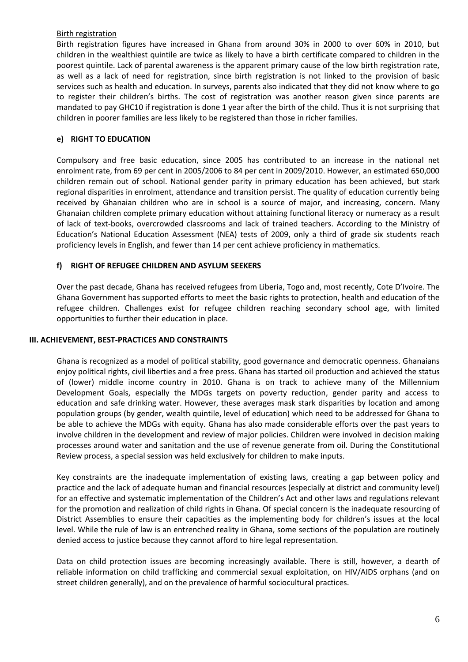#### Birth registration

Birth registration figures have increased in Ghana from around 30% in 2000 to over 60% in 2010, but children in the wealthiest quintile are twice as likely to have a birth certificate compared to children in the poorest quintile. Lack of parental awareness is the apparent primary cause of the low birth registration rate, as well as a lack of need for registration, since birth registration is not linked to the provision of basic services such as health and education. In surveys, parents also indicated that they did not know where to go to register their children's births. The cost of registration was another reason given since parents are mandated to pay GHC10 if registration is done 1 year after the birth of the child. Thus it is not surprising that children in poorer families are less likely to be registered than those in richer families.

# **e) RIGHT TO EDUCATION**

Compulsory and free basic education, since 2005 has contributed to an increase in the national net enrolment rate, from 69 per cent in 2005/2006 to 84 per cent in 2009/2010. However, an estimated 650,000 children remain out of school. National gender parity in primary education has been achieved, but stark regional disparities in enrolment, attendance and transition persist. The quality of education currently being received by Ghanaian children who are in school is a source of major, and increasing, concern. Many Ghanaian children complete primary education without attaining functional literacy or numeracy as a result of lack of text-books, overcrowded classrooms and lack of trained teachers. According to the Ministry of Education's National Education Assessment (NEA) tests of 2009, only a third of grade six students reach proficiency levels in English, and fewer than 14 per cent achieve proficiency in mathematics.

## **f) RIGHT OF REFUGEE CHILDREN AND ASYLUM SEEKERS**

Over the past decade, Ghana has received refugees from Liberia, Togo and, most recently, Cote D'Ivoire. The Ghana Government has supported efforts to meet the basic rights to protection, health and education of the refugee children. Challenges exist for refugee children reaching secondary school age, with limited opportunities to further their education in place.

## **III. ACHIEVEMENT, BEST-PRACTICES AND CONSTRAINTS**

Ghana is recognized as a model of political stability, good governance and democratic openness. Ghanaians enjoy political rights, civil liberties and a free press. Ghana has started oil production and achieved the status of (lower) middle income country in 2010. Ghana is on track to achieve many of the Millennium Development Goals, especially the MDGs targets on poverty reduction, gender parity and access to education and safe drinking water. However, these averages mask stark disparities by location and among population groups (by gender, wealth quintile, level of education) which need to be addressed for Ghana to be able to achieve the MDGs with equity. Ghana has also made considerable efforts over the past years to involve children in the development and review of major policies. Children were involved in decision making processes around water and sanitation and the use of revenue generate from oil. During the Constitutional Review process, a special session was held exclusively for children to make inputs.

Key constraints are the inadequate implementation of existing laws, creating a gap between policy and practice and the lack of adequate human and financial resources (especially at district and community level) for an effective and systematic implementation of the Children's Act and other laws and regulations relevant for the promotion and realization of child rights in Ghana. Of special concern is the inadequate resourcing of District Assemblies to ensure their capacities as the implementing body for children's issues at the local level. While the rule of law is an entrenched reality in Ghana, some sections of the population are routinely denied access to justice because they cannot afford to hire legal representation.

Data on child protection issues are becoming increasingly available. There is still, however, a dearth of reliable information on child trafficking and commercial sexual exploitation, on HIV/AIDS orphans (and on street children generally), and on the prevalence of harmful sociocultural practices.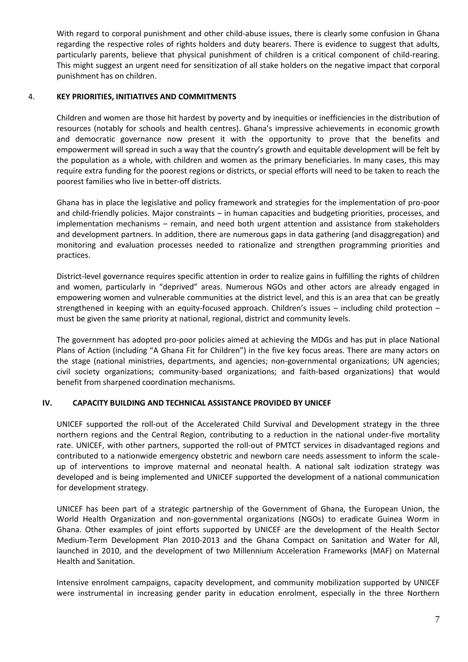With regard to corporal punishment and other child-abuse issues, there is clearly some confusion in Ghana regarding the respective roles of rights holders and duty bearers. There is evidence to suggest that adults, particularly parents, believe that physical punishment of children is a critical component of child-rearing. This might suggest an urgent need for sensitization of all stake holders on the negative impact that corporal punishment has on children.

## 4. **KEY PRIORITIES, INITIATIVES AND COMMITMENTS**

Children and women are those hit hardest by poverty and by inequities or inefficiencies in the distribution of resources (notably for schools and health centres). Ghana's impressive achievements in economic growth and democratic governance now present it with the opportunity to prove that the benefits and empowerment will spread in such a way that the country's growth and equitable development will be felt by the population as a whole, with children and women as the primary beneficiaries. In many cases, this may require extra funding for the poorest regions or districts, or special efforts will need to be taken to reach the poorest families who live in better-off districts.

Ghana has in place the legislative and policy framework and strategies for the implementation of pro-poor and child-friendly policies. Major constraints – in human capacities and budgeting priorities, processes, and implementation mechanisms – remain, and need both urgent attention and assistance from stakeholders and development partners. In addition, there are numerous gaps in data gathering (and disaggregation) and monitoring and evaluation processes needed to rationalize and strengthen programming priorities and practices.

District-level governance requires specific attention in order to realize gains in fulfilling the rights of children and women, particularly in "deprived" areas. Numerous NGOs and other actors are already engaged in empowering women and vulnerable communities at the district level, and this is an area that can be greatly strengthened in keeping with an equity-focused approach. Children's issues – including child protection – must be given the same priority at national, regional, district and community levels.

The government has adopted pro-poor policies aimed at achieving the MDGs and has put in place National Plans of Action (including "A Ghana Fit for Children") in the five key focus areas. There are many actors on the stage (national ministries, departments, and agencies; non-governmental organizations; UN agencies; civil society organizations; community-based organizations; and faith-based organizations) that would benefit from sharpened coordination mechanisms.

## **IV. CAPACITY BUILDING AND TECHNICAL ASSISTANCE PROVIDED BY UNICEF**

UNICEF supported the roll-out of the Accelerated Child Survival and Development strategy in the three northern regions and the Central Region, contributing to a reduction in the national under-five mortality rate. UNICEF, with other partners, supported the roll-out of PMTCT services in disadvantaged regions and contributed to a nationwide emergency obstetric and newborn care needs assessment to inform the scaleup of interventions to improve maternal and neonatal health. A national salt iodization strategy was developed and is being implemented and UNICEF supported the development of a national communication for development strategy.

UNICEF has been part of a strategic partnership of the Government of Ghana, the European Union, the World Health Organization and non-governmental organizations (NGOs) to eradicate Guinea Worm in Ghana. Other examples of joint efforts supported by UNICEF are the development of the Health Sector Medium-Term Development Plan 2010-2013 and the Ghana Compact on Sanitation and Water for All, launched in 2010, and the development of two Millennium Acceleration Frameworks (MAF) on Maternal Health and Sanitation.

Intensive enrolment campaigns, capacity development, and community mobilization supported by UNICEF were instrumental in increasing gender parity in education enrolment, especially in the three Northern